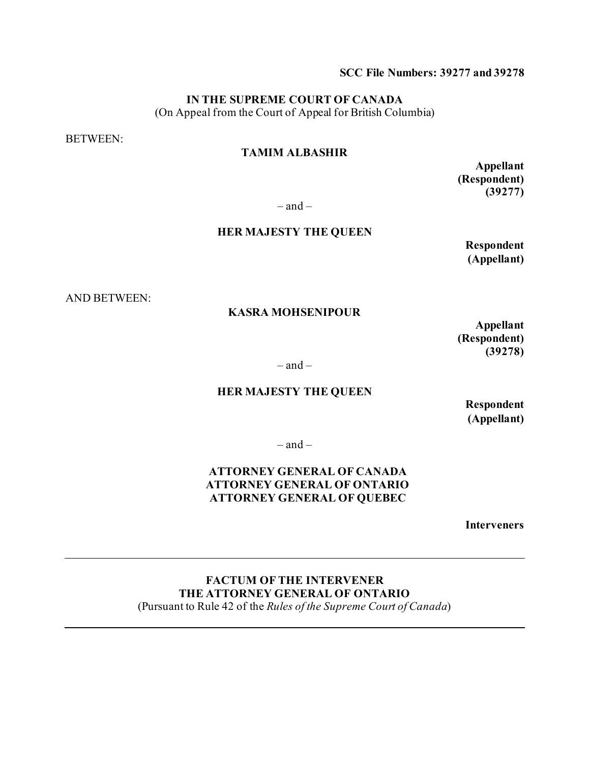#### **SCC File Numbers: 39277 and 39278**

### **IN THE SUPREME COURT OF CANADA**

(On Appeal from the Court of Appeal for British Columbia)

BETWEEN:

### **TAMIM ALBASHIR**

**Appellant (Respondent) (39277)**

 $-$  and  $-$ 

#### **HER MAJESTY THE QUEEN**

**Respondent (Appellant)** 

AND BETWEEN:

#### **KASRA MOHSENIPOUR**

**Appellant (Respondent) (39278)**

 $-$ and  $-$ 

#### **HER MAJESTY THE QUEEN**

**Respondent (Appellant)**

 $-$  and  $-$ 

### **ATTORNEY GENERAL OF CANADA ATTORNEY GENERAL OF ONTARIO ATTORNEY GENERAL OF QUEBEC**

**Interveners**

**FACTUM OF THE INTERVENER THE ATTORNEY GENERAL OF ONTARIO**  (Pursuant to Rule 42 of the *Rules of the Supreme Court of Canada*)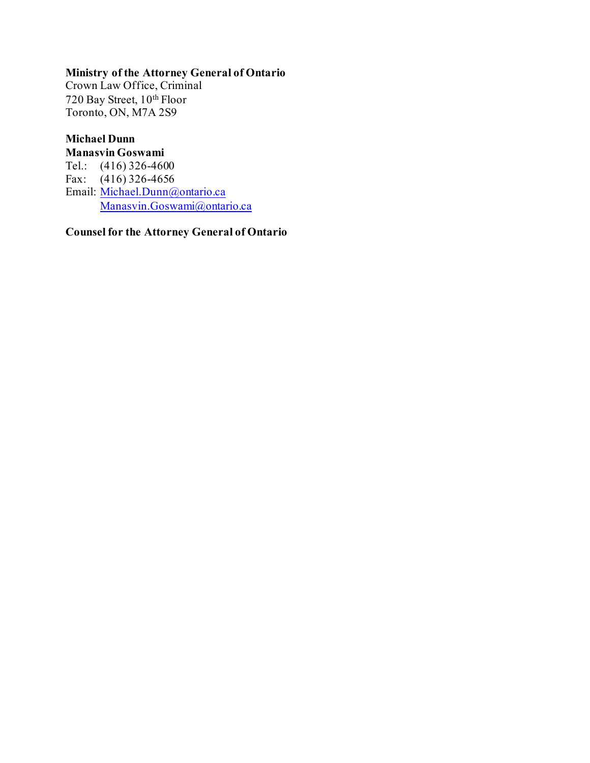# **Ministry of the Attorney General of Ontario**

Crown Law Office, Criminal 720 Bay Street, 10th Floor Toronto, ON, M7A 2S9

# **Michael Dunn**

**Manasvin Goswami** Tel.: (416) 326-4600 Fax: (416) 326-4656 Email: [Michael.Dunn@ontario.ca](mailto:Michael.Dunn@ontario.ca) [Manasvin.Goswami@ontario.ca](mailto:Manasvin.Goswami@ontario.ca)

**Counsel for the Attorney General of Ontario**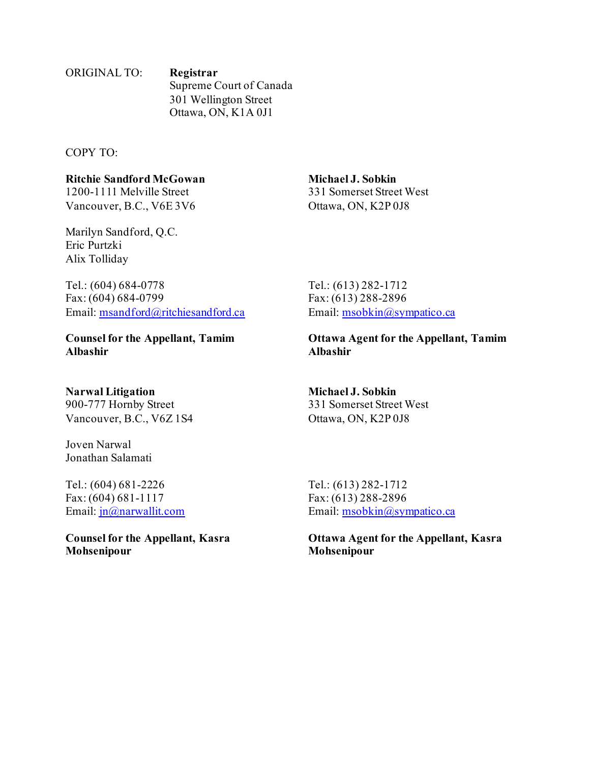### ORIGINAL TO: **Registrar** Supreme Court of Canada 301 Wellington Street Ottawa, ON, K1A 0J1

COPY TO:

# **Ritchie Sandford McGowan Michael J. Sobkin**

Vancouver, B.C., V6E 3V6 Ottawa, ON, K2P 0J8

Marilyn Sandford, Q.C. Eric Purtzki Alix Tolliday

Tel.: (604) 684-0778<br>Fax: (604) 684-0799 Fax: (613) 288-2896 Email: [msandford@ritchiesandford.ca](mailto:msandford@ritchiesandford.ca) Email: [msobkin@sympatico.ca](mailto:msobkin@sympatico.ca)

**Albashir Albashir**

# **Narwal Litigation Michael J. Sobkin**

Vancouver, B.C., V6Z 1S4 Ottawa, ON, K2P 0J8

Joven Narwal Jonathan Salamati

Tel.: (604) 681-2226 Tel.: (613) 282-1712 Fax: (604) 681-1117 Fax: (613) 288-2896

**Mohsenipour Mohsenipour**

1200-1111 Melville Street 331 Somerset Street West

Fax: (613) 288-2896

**Counsel for the Appellant, Tamim Ottawa Agent for the Appellant, Tamim**

900-777 Hornby Street 331 Somerset Street West

Email:  $\text{in}(\partial \Omega)$ narwallit.com Email: msobkin $(\partial \Omega)$ sympatico.ca

**Counsel for the Appellant, Kasra Ottawa Agent for the Appellant, Kasra**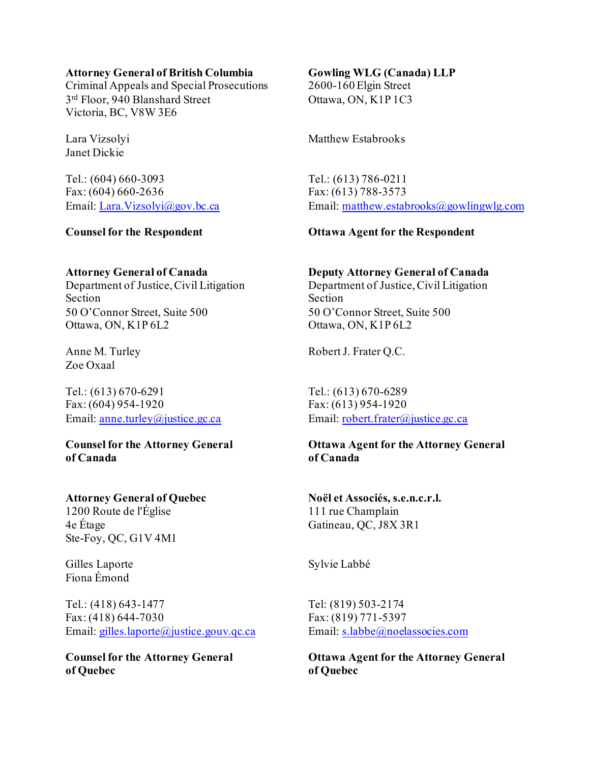#### **Attorney General of British Columbia Gowling WLG (Canada) LLP**

Criminal Appeals and Special Prosecutions 2600-160 Elgin Street 3<sup>rd</sup> Floor, 940 Blanshard Street Ottawa, ON, K1P 1C3 Victoria, BC, V8W 3E6

Janet Dickie

Tel.: (604) 660-3093 Tel.: (613) 786-0211 Fax: (604) 660-2636 Fax: (613) 788-3573

Section Section 50 O'Connor Street, Suite 500 50 O'Connor Street, Suite 500 Ottawa, ON, K1P 6L2 Ottawa, ON, K1P 6L2

Zoe Oxaal

Tel.: (613) 670-6291 Tel.: (613) 670-6289 Fax: (604) 954-1920 Fax: (613) 954-1920

**of Canada of Canada**

### **Attorney General of Quebec Noël et Associés, s.e.n.c.r.l.**

1200 Route de l'Église 111 rue Champlain 4e Étage Gatineau, QC, J8X 3R1 Ste-Foy, QC, G1V 4M1

Gilles Laporte Sylvie Labbé Fiona Émond

Tel.: (418) 643-1477 Tel: (819) 503-2174 Fax: (418) 644-7030 Fax: (819) 771-5397 Email: [gilles.laporte@justice.gouv.qc.ca](mailto:gilles.laporte@justice.gouv.qc.ca) Email: [s.labbe@noelassocies.com](mailto:s.labbe@noelassocies.com)

**of Quebec of Quebec**

Lara Vizsolyi Matthew Estabrooks

Email: [Lara.Vizsolyi@gov.bc.ca](mailto:Lara.Vizsolyi@gov.bc.ca) Email: [matthew.estabrooks@gowlingwlg.com](mailto:matthew.estabrooks@gowlingwlg.com)

### **Counsel for the Respondent Ottawa Agent for the Respondent**

### **Attorney General of Canada Deputy Attorney General of Canada**

Department of Justice, Civil Litigation Department of Justice, Civil Litigation

Anne M. Turley Robert J. Frater Q.C.

Email: [anne.turley@justice.gc.ca](mailto:anne.turley@justice.gc.ca) Email: [robert.frater@justice.gc.ca](mailto:robert.frater@justice.gc.ca)

# **Counsel for the Attorney General Ottawa Agent for the Attorney General**

**Counsel for the Attorney General Ottawa Agent for the Attorney General**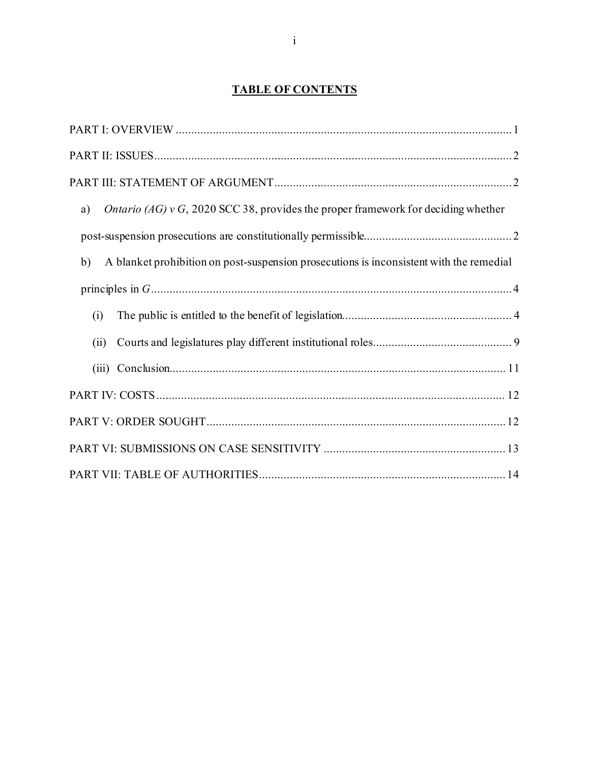# **TABLE OF CONTENTS**

| <i>Ontario (AG)</i> $v$ G, 2020 SCC 38, provides the proper framework for deciding whether<br>a) |
|--------------------------------------------------------------------------------------------------|
|                                                                                                  |
| A blanket prohibition on post-suspension prosecutions is inconsistent with the remedial<br>b)    |
|                                                                                                  |
| (i)                                                                                              |
| (ii)                                                                                             |
|                                                                                                  |
|                                                                                                  |
|                                                                                                  |
|                                                                                                  |
|                                                                                                  |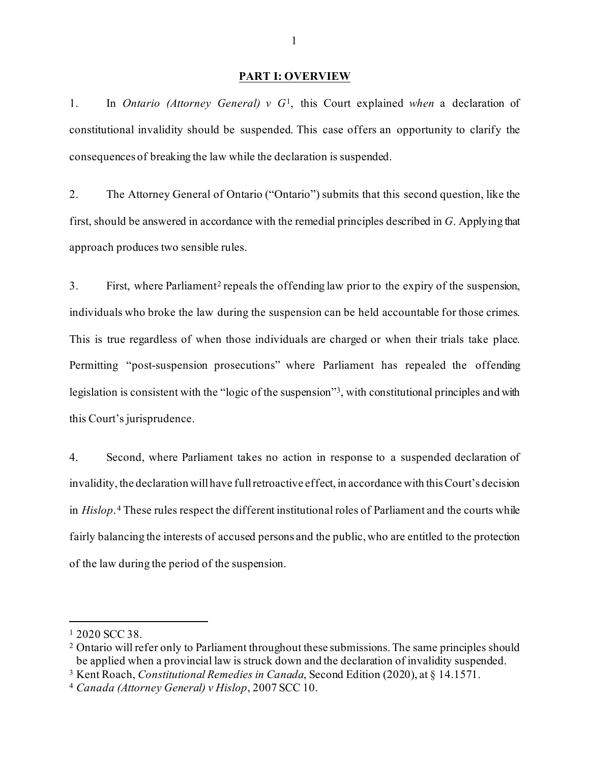#### **PART I: OVERVIEW**

<span id="page-5-0"></span>1. In *Ontario (Attorney General) v G*[1,](#page-5-2) this Court explained *when* a declaration of constitutional invalidity should be suspended. This case offers an opportunity to clarify the consequences of breaking the law while the declaration is suspended.

2. The Attorney General of Ontario ("Ontario") submits that this second question, like the first, should be answered in accordance with the remedial principles described in *G*. Applying that approach produces two sensible rules.

3. First, where Parliament[2](#page-5-3) repeals the offending law prior to the expiry of the suspension, individuals who broke the law during the suspension can be held accountable for those crimes. This is true regardless of when those individuals are charged or when their trials take place. Permitting "post-suspension prosecutions" where Parliament has repealed the offending legislation is consistent with the "logic of the suspension"[3,](#page-5-4) with constitutional principles and with this Court's jurisprudence.

4. Second, where Parliament takes no action in response to a suspended declaration of invalidity, the declaration will have full retroactive effect, in accordance with this Court's decision in *Hislop*. [4](#page-5-5) These rules respect the different institutional roles of Parliament and the courts while fairly balancing the interests of accused persons and the public, who are entitled to the protection of the law during the period of the suspension.

<span id="page-5-2"></span><span id="page-5-1"></span><sup>1</sup> 2020 SCC 38.

<span id="page-5-3"></span><sup>&</sup>lt;sup>2</sup> Ontario will refer only to Parliament throughout these submissions. The same principles should be applied when a provincial law is struck down and the declaration of invalidity suspended.

<span id="page-5-4"></span><sup>3</sup> Kent Roach, *Constitutional Remedies in Canada*, Second Edition (2020), at § 14.1571.

<span id="page-5-5"></span><sup>4</sup> *Canada (Attorney General) v Hislop*, 2007 SCC 10.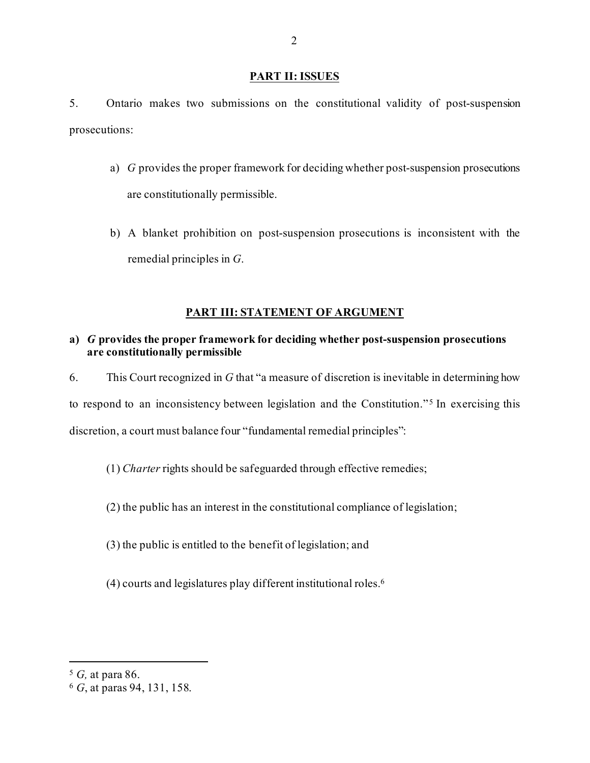#### **PART II: ISSUES**

5. Ontario makes two submissions on the constitutional validity of post-suspension prosecutions:

- a) *G* provides the proper framework for deciding whether post-suspension prosecutions are constitutionally permissible.
- b) A blanket prohibition on post-suspension prosecutions is inconsistent with the remedial principles in *G*.

# **PART III: STATEMENT OF ARGUMENT**

## <span id="page-6-1"></span><span id="page-6-0"></span>**a)** *G* **provides the proper framework for deciding whether post-suspension prosecutions are constitutionally permissible**

6. This Court recognized in *G* that "a measure of discretion is inevitable in determining how to respond to an inconsistency between legislation and the Constitution."<sup>[5](#page-6-2)</sup> In exercising this discretion, a court must balance four "fundamental remedial principles":

(1) *Charter* rights should be safeguarded through effective remedies;

- (2) the public has an interest in the constitutional compliance of legislation;
- (3) the public is entitled to the benefit of legislation; and
- (4) courts and legislatures play different institutional roles[.6](#page-6-3)

<span id="page-6-2"></span><sup>5</sup> *G,* at para 86.

<span id="page-6-3"></span><sup>6</sup> *G*, at paras 94, 131, 158.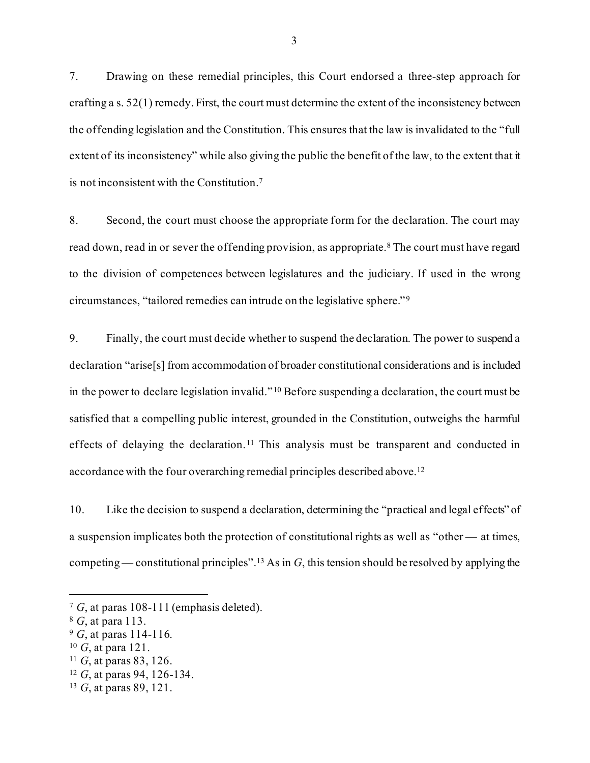7. Drawing on these remedial principles, this Court endorsed a three-step approach for crafting a s. 52(1) remedy. First, the court must determine the extent of the inconsistency between the offending legislation and the Constitution. This ensures that the law is invalidated to the "full extent of its inconsistency" while also giving the public the benefit of the law, to the extent that it is not inconsistent with the Constitution.[7](#page-7-0)

8. Second, the court must choose the appropriate form for the declaration. The court may read down, read in or sever the offending provision, as appropriate.<sup>[8](#page-7-1)</sup> The court must have regard to the division of competences between legislatures and the judiciary. If used in the wrong circumstances, "tailored remedies can intrude on the legislative sphere."<sup>[9](#page-7-2)</sup>

9. Finally, the court must decide whether to suspend the declaration. The power to suspend a declaration "arise[s] from accommodation of broader constitutional considerations and is included in the power to declare legislation invalid." [10](#page-7-3) Before suspending a declaration, the court must be satisfied that a compelling public interest, grounded in the Constitution, outweighs the harmful effects of delaying the declaration.<sup>[11](#page-7-4)</sup> This analysis must be transparent and conducted in accordance with the four overarching remedial principles described above.[12](#page-7-5)

10. Like the decision to suspend a declaration, determining the "practical and legal effects" of a suspension implicates both the protection of constitutional rights as well as "other — at times, competing — constitutional principles"[.13](#page-7-6) As in *G*, this tension should be resolved by applying the

<span id="page-7-0"></span><sup>7</sup> *G*, at paras 108-111 (emphasis deleted).

<span id="page-7-1"></span><sup>8</sup> *G*, at para 113.

<span id="page-7-2"></span><sup>9</sup> *G*, at paras 114-116.

<span id="page-7-3"></span><sup>10</sup> *G*, at para 121.

<span id="page-7-4"></span><sup>11</sup> *G*, at paras 83, 126.

<span id="page-7-5"></span><sup>12</sup> *G*, at paras 94, 126-134.

<span id="page-7-6"></span><sup>13</sup> *G*, at paras 89, 121.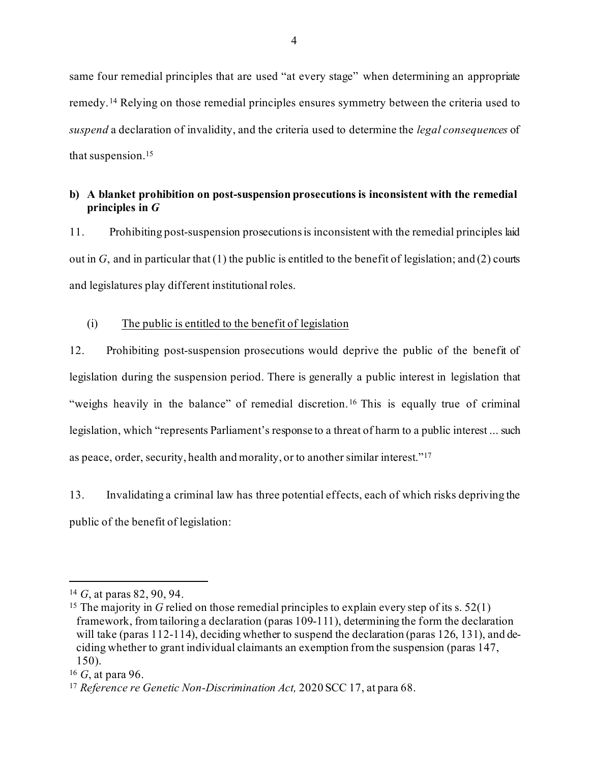same four remedial principles that are used "at every stage" when determining an appropriate remedy.[14](#page-8-2) Relying on those remedial principles ensures symmetry between the criteria used to *suspend* a declaration of invalidity, and the criteria used to determine the *legal consequences* of that suspension.[15](#page-8-3)

### <span id="page-8-0"></span>**b) A blanket prohibition on post-suspension prosecutions is inconsistent with the remedial principles in** *G*

11. Prohibiting post-suspension prosecutions is inconsistent with the remedial principles laid out in *G*, and in particular that (1) the public is entitled to the benefit of legislation; and (2) courts and legislatures play different institutional roles.

#### <span id="page-8-1"></span>(i) The public is entitled to the benefit of legislation

12. Prohibiting post-suspension prosecutions would deprive the public of the benefit of legislation during the suspension period. There is generally a public interest in legislation that "weighs heavily in the balance" of remedial discretion.<sup>[16](#page-8-4)</sup> This is equally true of criminal legislation, which "represents Parliament's response to a threat of harm to a public interest ... such as peace, order, security, health and morality, or to another similar interest."[17](#page-8-5)

13. Invalidating a criminal law has three potential effects, each of which risks depriving the public of the benefit of legislation:

<span id="page-8-2"></span><sup>14</sup> *G*, at paras 82, 90, 94.

<span id="page-8-3"></span><sup>&</sup>lt;sup>15</sup> The majority in *G* relied on those remedial principles to explain every step of its s. 52(1) framework, from tailoring a declaration (paras 109-111), determining the form the declaration will take (paras 112-114), deciding whether to suspend the declaration (paras 126, 131), and deciding whether to grant individual claimants an exemption from the suspension (paras 147, 150).

<span id="page-8-4"></span><sup>16</sup> *G*, at para 96.

<span id="page-8-5"></span><sup>17</sup> *Reference re Genetic Non-Discrimination Act,* 2020 SCC 17, at para 68.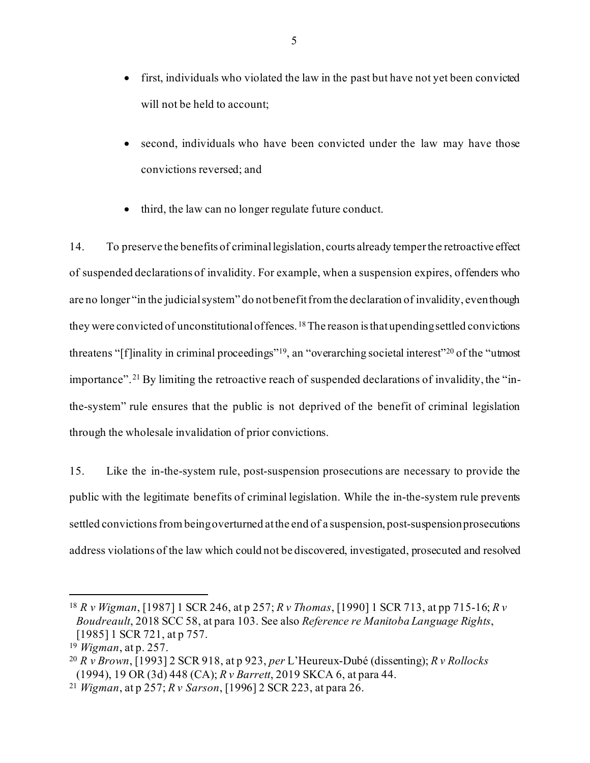- first, individuals who violated the law in the past but have not yet been convicted will not be held to account;
- second, individuals who have been convicted under the law may have those convictions reversed; and
- third, the law can no longer regulate future conduct.

14. To preserve the benefits of criminal legislation, courts already temper the retroactive effect of suspended declarations of invalidity. For example, when a suspension expires, offenders who are no longer "in the judicial system" do not benefit from the declaration of invalidity, even though they were convicted of unconstitutional offences. [18](#page-9-0)The reason is that upending settled convictions threatens "[f]inality in criminal proceedings"[19,](#page-9-1) an "overarching societal interest"[20](#page-9-2) of the "utmost importance".[21](#page-9-3) By limiting the retroactive reach of suspended declarations of invalidity, the "inthe-system" rule ensures that the public is not deprived of the benefit of criminal legislation through the wholesale invalidation of prior convictions.

15. Like the in-the-system rule, post-suspension prosecutions are necessary to provide the public with the legitimate benefits of criminal legislation. While the in-the-system rule prevents settled convictions from being overturned at the end of a suspension, post-suspension prosecutions address violations of the law which could not be discovered, investigated, prosecuted and resolved

<span id="page-9-0"></span><sup>18</sup> *R v Wigman*, [1987] 1 SCR 246, at p 257; *R v Thomas*, [1990] 1 SCR 713, at pp 715-16; *R v Boudreault*, 2018 SCC 58, at para 103. See also *Reference re Manitoba Language Rights*, [1985] 1 SCR 721, at p 757.

<span id="page-9-1"></span><sup>19</sup> *Wigman*, at p. 257.

<span id="page-9-2"></span><sup>20</sup> *R v Brown*, [1993] 2 SCR 918, at p 923, *per* L'Heureux-Dubé (dissenting); *R v Rollocks*  (1994), 19 OR (3d) 448 (CA); *R v Barrett*, 2019 SKCA 6, at para 44.

<span id="page-9-3"></span><sup>21</sup> *Wigman*, at p 257; *R v Sarson*, [1996] 2 SCR 223, at para 26.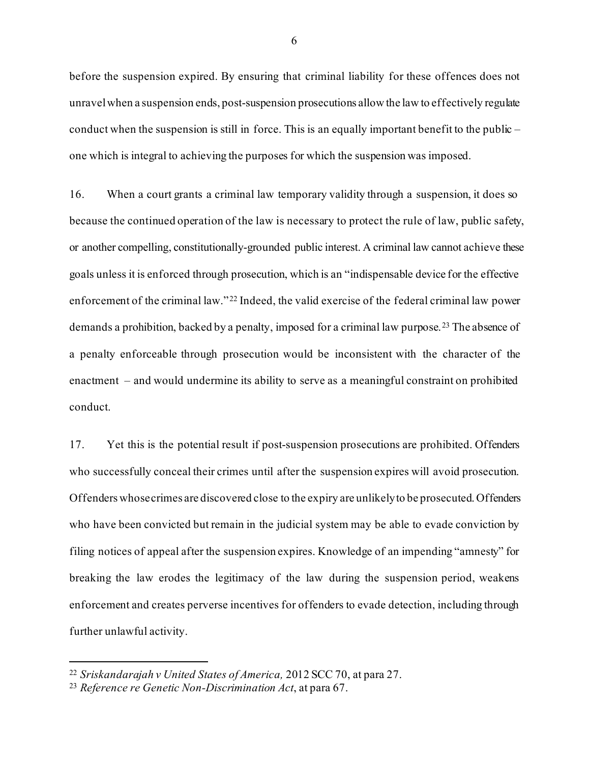before the suspension expired. By ensuring that criminal liability for these offences does not unravel when a suspension ends, post-suspension prosecutions allowthe law to effectively regulate conduct when the suspension is still in force. This is an equally important benefit to the public – one which is integral to achieving the purposes for which the suspension was imposed.

16. When a court grants a criminal law temporary validity through a suspension, it does so because the continued operation of the law is necessary to protect the rule of law, public safety, or another compelling, constitutionally-grounded public interest. A criminal law cannot achieve these goals unless it is enforced through prosecution, which is an "indispensable device for the effective enforcement of the criminal law." [22](#page-10-0) Indeed, the valid exercise of the federal criminal law power demands a prohibition, backed by a penalty, imposed for a criminal law purpose. [23](#page-10-1) The absence of a penalty enforceable through prosecution would be inconsistent with the character of the enactment – and would undermine its ability to serve as a meaningful constraint on prohibited conduct.

17. Yet this is the potential result if post-suspension prosecutions are prohibited. Offenders who successfully conceal their crimes until after the suspension expires will avoid prosecution. Offenders whose crimes are discovered close to the expiry are unlikely to be prosecuted. Offenders who have been convicted but remain in the judicial system may be able to evade conviction by filing notices of appeal after the suspension expires. Knowledge of an impending "amnesty" for breaking the law erodes the legitimacy of the law during the suspension period, weakens enforcement and creates perverse incentives for offenders to evade detection, including through further unlawful activity.

<span id="page-10-0"></span><sup>22</sup> *Sriskandarajah v United States of America,* 2012 SCC 70, at para 27.

<span id="page-10-1"></span><sup>23</sup> *Reference re Genetic Non-Discrimination Act*, at para 67.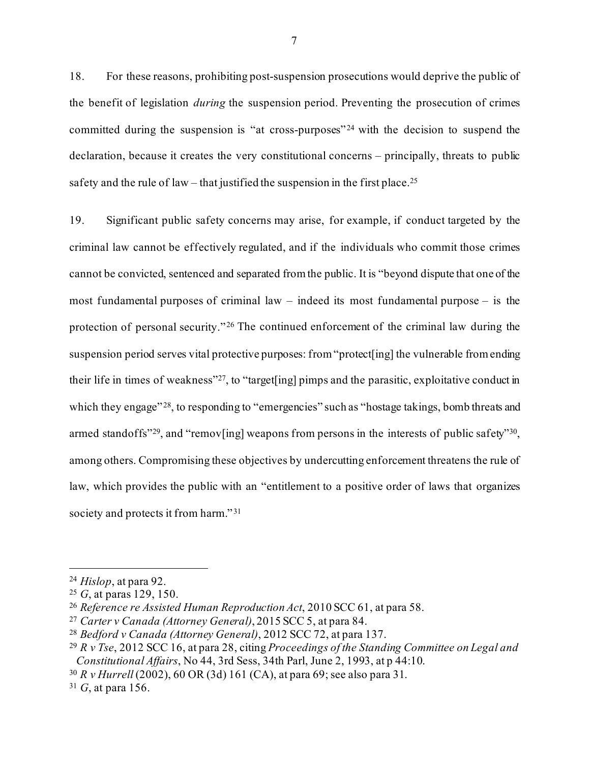18. For these reasons, prohibiting post-suspension prosecutions would deprive the public of the benefit of legislation *during* the suspension period. Preventing the prosecution of crimes committed during the suspension is "at cross-purposes"<sup>[24](#page-11-0)</sup> with the decision to suspend the declaration, because it creates the very constitutional concerns – principally, threats to public safety and the rule of law – that justified the suspension in the first place.<sup>[25](#page-11-1)</sup>

19. Significant public safety concerns may arise, for example, if conduct targeted by the criminal law cannot be effectively regulated, and if the individuals who commit those crimes cannot be convicted, sentenced and separated from the public. It is "beyond dispute that one of the most fundamental purposes of criminal law – indeed its most fundamental purpose – is the protection of personal security."<sup>[26](#page-11-2)</sup> The continued enforcement of the criminal law during the suspension period serves vital protective purposes: from "protect[ing] the vulnerable from ending their life in times of weakness["27](#page-11-3), to "target[ing] pimps and the parasitic, exploitative conduct in which they engage"<sup>28</sup>, to responding to "emergencies" such as "hostage takings, bomb threats and armed standoffs"<sup>29</sup>, and "remov[ing] weapons from persons in the interests of public safety"<sup>30</sup>, among others. Compromising these objectives by undercutting enforcement threatens the rule of law, which provides the public with an "entitlement to a positive order of laws that organizes society and protects it from harm."<sup>[31](#page-11-7)</sup>

<span id="page-11-0"></span><sup>24</sup> *Hislop*, at para 92.

<span id="page-11-1"></span><sup>25</sup> *G*, at paras 129, 150.

<span id="page-11-2"></span><sup>26</sup> *Reference re Assisted Human Reproduction Act*, 2010 SCC 61, at para 58.

<span id="page-11-3"></span><sup>27</sup> *Carter v Canada (Attorney General)*, 2015 SCC 5, at para 84.

<span id="page-11-4"></span><sup>28</sup> *Bedford v Canada (Attorney General)*, 2012 SCC 72, at para 137.

<span id="page-11-5"></span><sup>29</sup> *R v Tse*, 2012 SCC 16, at para 28, citing *Proceedings of the Standing Committee on Legal and* 

<span id="page-11-6"></span><sup>&</sup>lt;sup>30</sup> *R v Hurrell* (2002), 60 OR (3d) 161 (CA), at para 69; see also para 31.

<span id="page-11-7"></span><sup>31</sup> *G*, at para 156.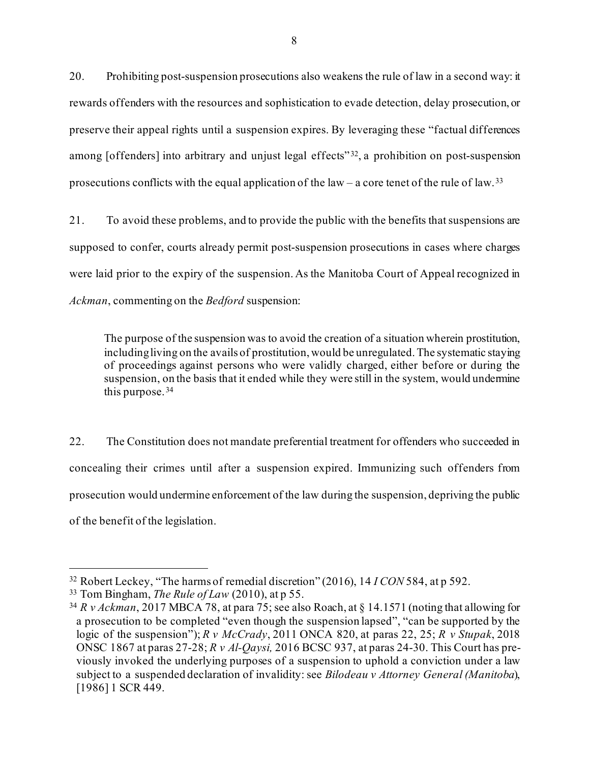20. Prohibiting post-suspension prosecutions also weakens the rule of law in a second way: it rewards offenders with the resources and sophistication to evade detection, delay prosecution, or preserve their appeal rights until a suspension expires. By leveraging these "factual differences among [offenders] into arbitrary and unjust legal effects"<sup>[32](#page-12-0)</sup>, a prohibition on post-suspension prosecutions conflicts with the equal application of the law – a core tenet of the rule of law.<sup>[33](#page-12-1)</sup>

21. To avoid these problems, and to provide the public with the benefits that suspensions are supposed to confer, courts already permit post-suspension prosecutions in cases where charges were laid prior to the expiry of the suspension. As the Manitoba Court of Appeal recognized in *Ackman*, commenting on the *Bedford* suspension:

The purpose of the suspension was to avoid the creation of a situation wherein prostitution, including living on the avails of prostitution, would be unregulated. The systematic staying of proceedings against persons who were validly charged, either before or during the suspension, on the basis that it ended while they were still in the system, would undermine this purpose. [34](#page-12-2)

22. The Constitution does not mandate preferential treatment for offenders who succeeded in concealing their crimes until after a suspension expired. Immunizing such offenders from prosecution would undermine enforcement of the law during the suspension, depriving the public of the benefit of the legislation.

<span id="page-12-0"></span><sup>32</sup> Robert Leckey, "The harms of remedial discretion" (2016), 14 *I CON* 584, at p 592.

<span id="page-12-1"></span><sup>33</sup> Tom Bingham, *The Rule of Law* (2010), at p 55.

<span id="page-12-2"></span><sup>34</sup> *[R v Ackman](https://www.canlii.org/en/mb/mbca/doc/2017/2017mbca78/2017mbca78.html?autocompleteStr=ackman&autocompletePos=2)*, 2017 MBCA 78, at para 75; see also Roach, at § 14.1571 (noting that allowing for a prosecution to be completed "even though the suspension lapsed", "can be supported by the logic of the suspension"); *R v McCrady*, 2011 ONCA 820, at paras 22, 25; *R v Stupak*, 2018 ONSC 1867 at paras 27-28; *R v Al-Qaysi,* 2016 BCSC 937, at paras 24-30. This Court has previously invoked the underlying purposes of a suspension to uphold a conviction under a law subject to a suspended declaration of invalidity: see *Bilodeau v Attorney General (Manitoba*), [1986] 1 SCR 449.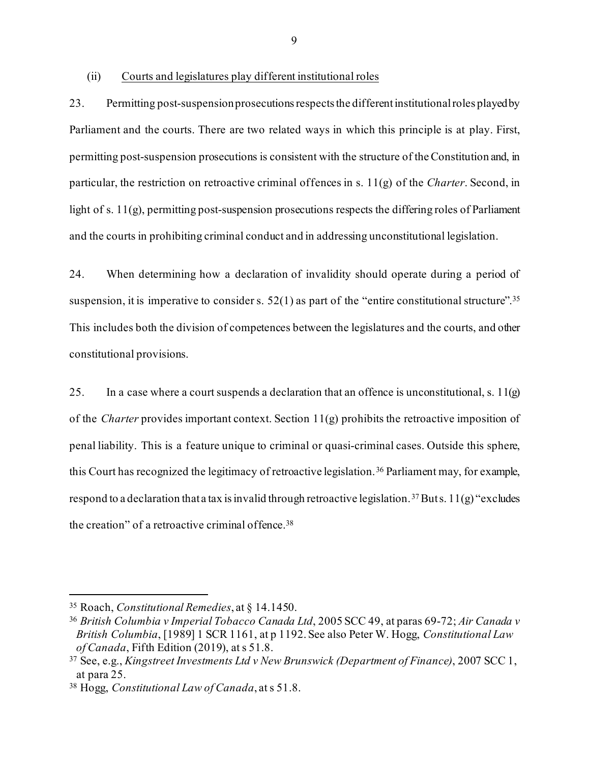<span id="page-13-0"></span>(ii) Courts and legislatures play different institutional roles

23. Permitting post-suspension prosecutions respects the different institutional roles played by Parliament and the courts. There are two related ways in which this principle is at play. First, permitting post-suspension prosecutions is consistent with the structure of the Constitution and, in particular, the restriction on retroactive criminal offences in s. 11(g) of the *Charter*. Second, in light of s. 11(g), permitting post-suspension prosecutions respects the differing roles of Parliament and the courts in prohibiting criminal conduct and in addressing unconstitutional legislation.

24. When determining how a declaration of invalidity should operate during a period of suspension, it is imperative to consider s.  $52(1)$  as part of the "entire constitutional structure".<sup>[35](#page-13-1)</sup> This includes both the division of competences between the legislatures and the courts, and other constitutional provisions.

25. In a case where a court suspends a declaration that an offence is unconstitutional, s.  $11(g)$ of the *Charter* provides important context. Section 11(g) prohibits the retroactive imposition of penal liability. This is a feature unique to criminal or quasi-criminal cases. Outside this sphere, this Court has recognized the legitimacy of retroactive legislation.[36](#page-13-2) Parliament may, for example, respond to a declaration that a tax is invalid through retroactive legislation.<sup>[37](#page-13-3)</sup> Buts. 11(g) "excludes the creation" of a retroactive criminal offence.<sup>[38](#page-13-4)</sup>

<span id="page-13-1"></span><sup>35</sup> Roach, *Constitutional Remedies*, at § 14.1450.

<span id="page-13-2"></span><sup>36</sup> *British Columbia v Imperial Tobacco Canada Ltd*, 2005 SCC 49, at paras 69-72; *Air Canada v British Columbia*, [1989] 1 SCR 1161, at p 1192. See also Peter W. Hogg, *Constitutional Law of Canada*, Fifth Edition (2019), at s 51.8.

<span id="page-13-3"></span><sup>37</sup> See, e.g., *Kingstreet Investments Ltd v New Brunswick (Department of Finance)*, 2007 SCC 1, at para 25.

<span id="page-13-4"></span><sup>38</sup> Hogg, *Constitutional Law of Canada*, at s 51.8.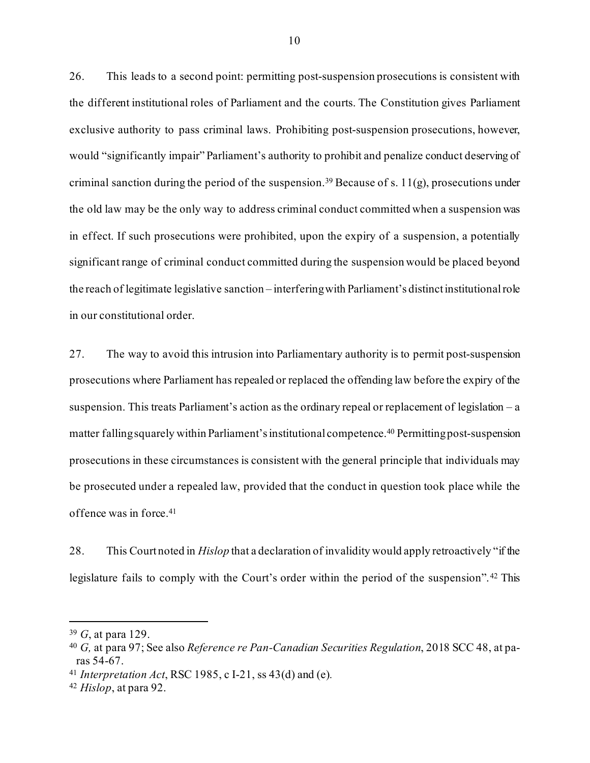26. This leads to a second point: permitting post-suspension prosecutions is consistent with the different institutional roles of Parliament and the courts. The Constitution gives Parliament exclusive authority to pass criminal laws. Prohibiting post-suspension prosecutions, however, would "significantly impair" Parliament's authority to prohibit and penalize conduct deserving of criminal sanction during the period of the suspension.<sup>[39](#page-14-0)</sup> Because of s.  $11(g)$ , prosecutions under the old law may be the only way to address criminal conduct committed when a suspension was in effect. If such prosecutions were prohibited, upon the expiry of a suspension, a potentially significant range of criminal conduct committed during the suspension would be placed beyond the reach of legitimate legislative sanction – interfering with Parliament's distinct institutional role in our constitutional order.

27. The way to avoid this intrusion into Parliamentary authority is to permit post-suspension prosecutions where Parliament has repealed or replaced the offending law before the expiry of the suspension. This treats Parliament's action as the ordinary repeal or replacement of legislation – a matter falling squarely within Parliament's institutional competence. [40](#page-14-1) Permitting post-suspension prosecutions in these circumstances is consistent with the general principle that individuals may be prosecuted under a repealed law, provided that the conduct in question took place while the offence was in force[.41](#page-14-2)

28. This Court noted in *Hislop* that a declaration of invalidity would apply retroactively "if the legislature fails to comply with the Court's order within the period of the suspension". [42](#page-14-3) This

<span id="page-14-0"></span><sup>39</sup> *G*, at para 129.

<span id="page-14-1"></span><sup>40</sup> *G,* at para 97; See also *Reference re Pan-Canadian Securities Regulation*, 2018 SCC 48, at paras 54-67.

<span id="page-14-2"></span><sup>41</sup> *Interpretation Act*, RSC 1985, c I-21, ss 43(d) and (e)*.*

<span id="page-14-3"></span><sup>42</sup> *Hislop*, at para 92.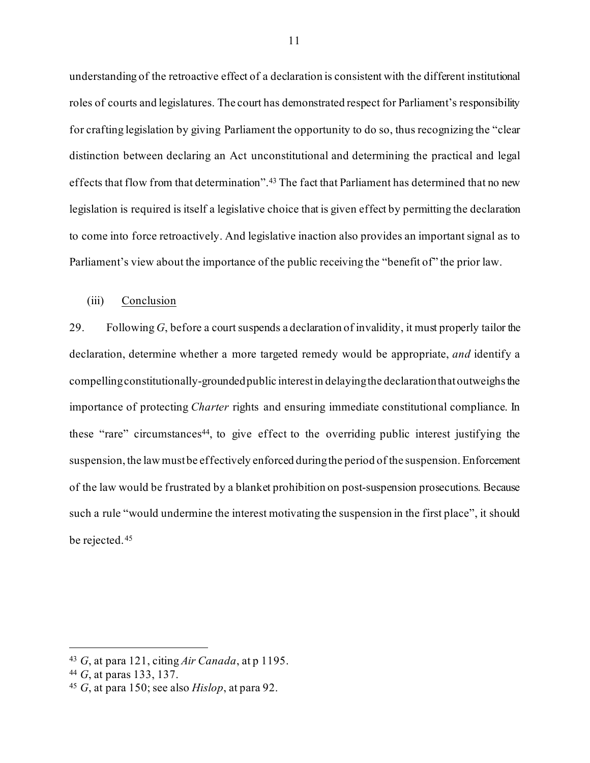understanding of the retroactive effect of a declaration is consistent with the different institutional roles of courts and legislatures. The court has demonstrated respect for Parliament's responsibility for crafting legislation by giving Parliament the opportunity to do so, thus recognizing the "clear distinction between declaring an Act unconstitutional and determining the practical and legal effects that flow from that determination".[43](#page-15-1) The fact that Parliament has determined that no new legislation is required is itself a legislative choice that is given effect by permitting the declaration to come into force retroactively. And legislative inaction also provides an important signal as to Parliament's view about the importance of the public receiving the "benefit of" the prior law.

#### <span id="page-15-0"></span>(iii) Conclusion

29. Following *G*, before a court suspends a declaration of invalidity, it must properly tailor the declaration, determine whether a more targeted remedy would be appropriate, *and* identify a compelling constitutionally-groundedpublic interest in delaying the declarationthat outweighs the importance of protecting *Charter* rights and ensuring immediate constitutional compliance. In these "rare" circumstances<sup>44</sup>, to give effect to the overriding public interest justifying the suspension, the law must be effectively enforced during the period of the suspension. Enforcement of the law would be frustrated by a blanket prohibition on post-suspension prosecutions. Because such a rule "would undermine the interest motivating the suspension in the first place", it should be rejected.[45](#page-15-3)

<span id="page-15-1"></span><sup>43</sup> *G*, at para 121, citing *Air Canada*, at p 1195.

<span id="page-15-2"></span><sup>44</sup> *G*, at paras 133, 137.

<span id="page-15-3"></span><sup>45</sup> *G*, at para 150; see also *Hislop*, at para 92.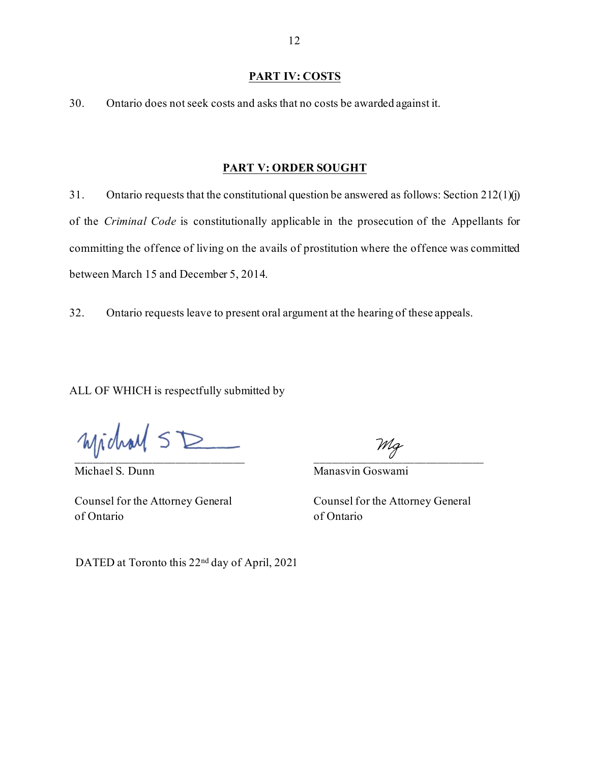#### **PART IV: COSTS**

<span id="page-16-0"></span>30. Ontario does not seek costs and asks that no costs be awarded against it.

#### **PART V: ORDER SOUGHT**

<span id="page-16-1"></span>31. Ontario requests that the constitutional question be answered as follows: Section  $212(1)(j)$ of the *Criminal Code* is constitutionally applicable in the prosecution of the Appellants for committing the offence of living on the avails of prostitution where the offence was committed between March 15 and December 5, 2014.

32. Ontario requests leave to present oral argument at the hearing of these appeals.

ALL OF WHICH is respectfully submitted by

 $Mjichad \leq D$ 

Michael S. Dunn

 $\overline{\mathscr{O}}$  . The contract of the contract of the contract of the contract of the contract of the contract of the contract of the contract of the contract of the contract of the contract of the contract of the contract of

Manasvin Goswami

Counsel for the Attorney General of Ontario

Counsel for the Attorney General of Ontario

DATED at Toronto this 22nd day of April, 2021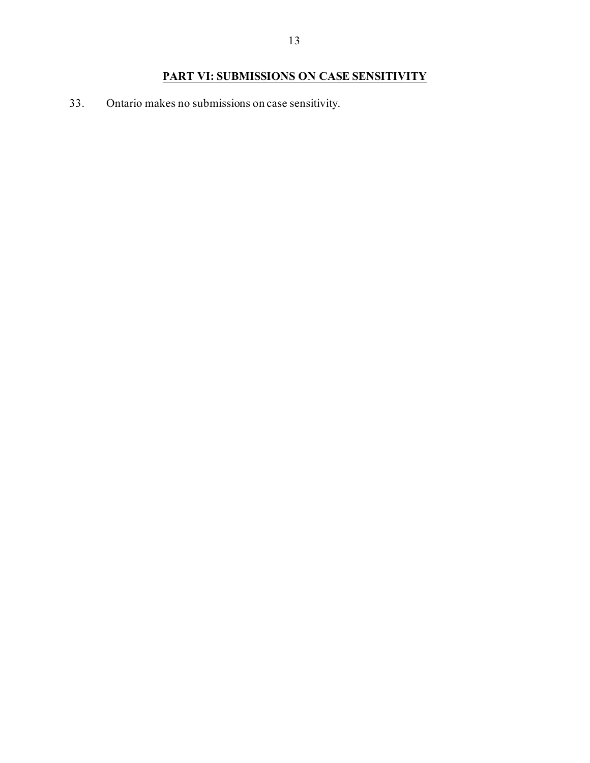# **PART VI: SUBMISSIONS ON CASE SENSITIVITY**

<span id="page-17-0"></span>33. Ontario makes no submissions on case sensitivity.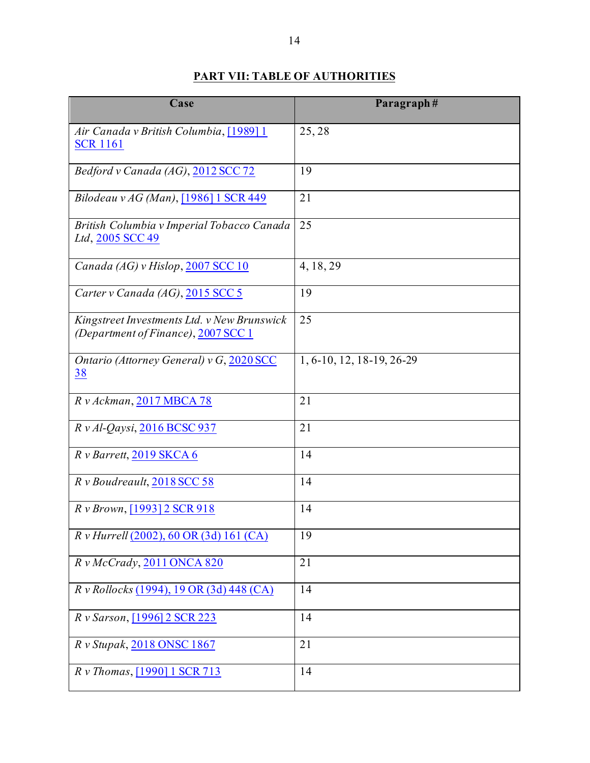# **PART VII: TABLE OF AUTHORITIES**

<span id="page-18-0"></span>

| Case                                                                               | Paragraph#                |
|------------------------------------------------------------------------------------|---------------------------|
| Air Canada v British Columbia, [1989] 1<br><b>SCR 1161</b>                         | 25,28                     |
| Bedford v Canada (AG), 2012 SCC 72                                                 | 19                        |
| Bilodeau v AG (Man), [1986] 1 SCR 449                                              | 21                        |
| British Columbia v Imperial Tobacco Canada<br>Ltd, 2005 SCC 49                     | 25                        |
| Canada (AG) v Hislop, 2007 SCC 10                                                  | 4, 18, 29                 |
| Carter v Canada (AG), 2015 SCC 5                                                   | 19                        |
| Kingstreet Investments Ltd. v New Brunswick<br>(Department of Finance), 2007 SCC 1 | 25                        |
| Ontario (Attorney General) v G, 2020 SCC<br><u>38</u>                              | 1, 6-10, 12, 18-19, 26-29 |
| R v Ackman, 2017 MBCA 78                                                           | 21                        |
| $R v$ Al-Qaysi, 2016 BCSC 937                                                      | 21                        |
| R v Barrett, 2019 SKCA 6                                                           | 14                        |
| R v Boudreault, 2018 SCC 58                                                        | 14                        |
| R v Brown, [1993] 2 SCR 918                                                        | 14                        |
| R v Hurrell (2002), 60 OR (3d) 161 (CA)                                            | 19                        |
| Rv McCrady, 2011 ONCA 820                                                          | 21                        |
| R v Rollocks (1994), 19 OR (3d) 448 (CA)                                           | 14                        |
| R v Sarson, [1996] 2 SCR 223                                                       | 14                        |
| R v Stupak, 2018 ONSC 1867                                                         | 21                        |
| R v Thomas, [1990] 1 SCR 713                                                       | 14                        |